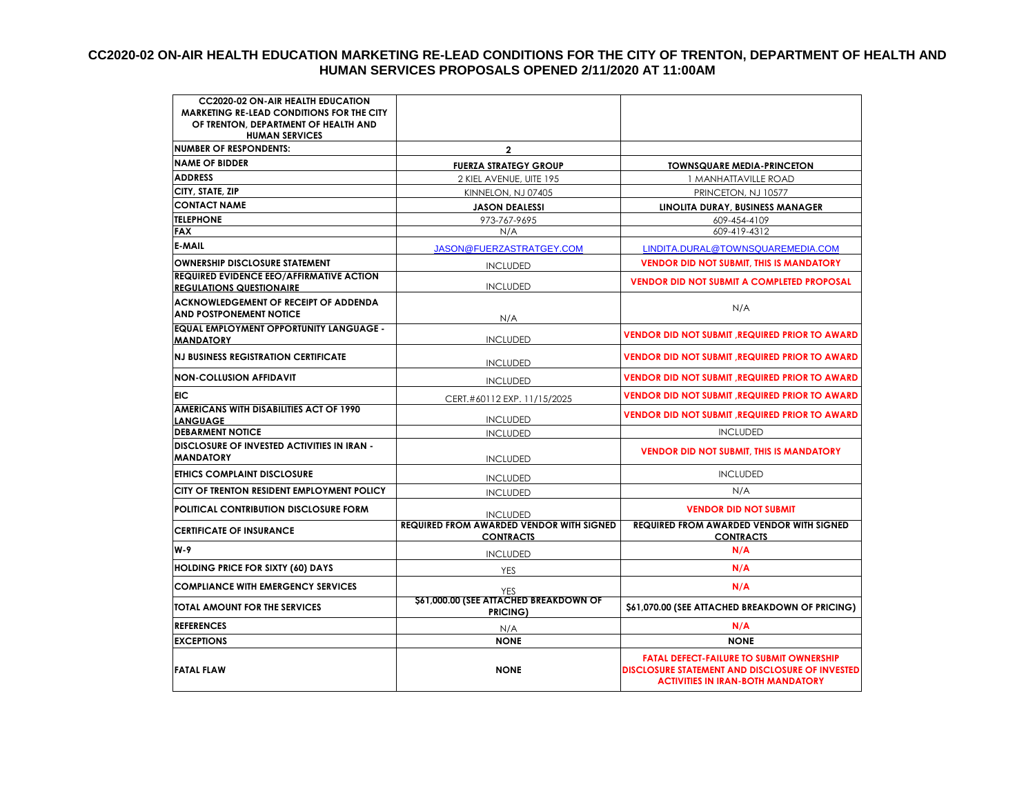#### **CC2020-02 ON-AIR HEALTH EDUCATION MARKETING RE-LEAD CONDITIONS FOR THE CITY OF TRENTON, DEPARTMENT OF HEALTH AND HUMAN SERVICES PROPOSALS OPENED 2/11/2020 AT 11:00AM**

| <b>CC2020-02 ON-AIR HEALTH EDUCATION</b><br><b>MARKETING RE-LEAD CONDITIONS FOR THE CITY</b><br>OF TRENTON, DEPARTMENT OF HEALTH AND<br><b>HUMAN SERVICES</b> |                                                                     |                                                                                                                                                       |
|---------------------------------------------------------------------------------------------------------------------------------------------------------------|---------------------------------------------------------------------|-------------------------------------------------------------------------------------------------------------------------------------------------------|
| <b>NUMBER OF RESPONDENTS:</b>                                                                                                                                 | $\mathbf{2}$                                                        |                                                                                                                                                       |
| <b>NAME OF BIDDER</b>                                                                                                                                         | <b>FUERZA STRATEGY GROUP</b>                                        | <b>TOWNSQUARE MEDIA-PRINCETON</b>                                                                                                                     |
| <b>ADDRESS</b>                                                                                                                                                | 2 KIEL AVENUE, UITE 195                                             | 1 MANHATTAVILLE ROAD                                                                                                                                  |
| CITY, STATE, ZIP                                                                                                                                              | KINNELON, NJ 07405                                                  | PRINCETON, NJ 10577                                                                                                                                   |
| <b>CONTACT NAME</b>                                                                                                                                           | <b>JASON DEALESSI</b>                                               | LINOLITA DURAY, BUSINESS MANAGER                                                                                                                      |
| <b>TELEPHONE</b>                                                                                                                                              | 973-767-9695                                                        | 609-454-4109                                                                                                                                          |
| <b>FAX</b>                                                                                                                                                    | N/A                                                                 | 609-419-4312                                                                                                                                          |
| <b>E-MAIL</b>                                                                                                                                                 | JASON@FUERZASTRATGEY.COM                                            | LINDITA.DURAL@TOWNSQUAREMEDIA.COM                                                                                                                     |
| <b>OWNERSHIP DISCLOSURE STATEMENT</b>                                                                                                                         | <b>INCLUDED</b>                                                     | <b>VENDOR DID NOT SUBMIT, THIS IS MANDATORY</b>                                                                                                       |
| <b>REQUIRED EVIDENCE EEO/AFFIRMATIVE ACTION</b><br><b>REGULATIONS QUESTIONAIRE</b>                                                                            | <b>INCLUDED</b>                                                     | <b>VENDOR DID NOT SUBMIT A COMPLETED PROPOSAL</b>                                                                                                     |
| <b>ACKNOWLEDGEMENT OF RECEIPT OF ADDENDA</b><br><b>AND POSTPONEMENT NOTICE</b>                                                                                | N/A                                                                 | N/A                                                                                                                                                   |
| <b>EQUAL EMPLOYMENT OPPORTUNITY LANGUAGE -</b><br><b>MANDATORY</b>                                                                                            | <b>INCLUDED</b>                                                     | <b>VENDOR DID NOT SUBMIT, REQUIRED PRIOR TO AWARD</b>                                                                                                 |
| <b>NJ BUSINESS REGISTRATION CERTIFICATE</b>                                                                                                                   | <b>INCLUDED</b>                                                     | <b>VENDOR DID NOT SUBMIT, REQUIRED PRIOR TO AWARD</b>                                                                                                 |
| <b>NON-COLLUSION AFFIDAVIT</b>                                                                                                                                | <b>INCLUDED</b>                                                     | <b>VENDOR DID NOT SUBMIT, REQUIRED PRIOR TO AWARD</b>                                                                                                 |
| <b>EIC</b>                                                                                                                                                    | CERT.#60112 EXP. 11/15/2025                                         | <b>VENDOR DID NOT SUBMIT, REQUIRED PRIOR TO AWARD</b>                                                                                                 |
| AMERICANS WITH DISABILITIES ACT OF 1990<br><b>LANGUAGE</b>                                                                                                    | <b>INCLUDED</b>                                                     | <b>VENDOR DID NOT SUBMIT, REQUIRED PRIOR TO AWARD</b>                                                                                                 |
| <b>DEBARMENT NOTICE</b>                                                                                                                                       | <b>INCLUDED</b>                                                     | <b>INCLUDED</b>                                                                                                                                       |
| <b>DISCLOSURE OF INVESTED ACTIVITIES IN IRAN -</b><br><b>MANDATORY</b>                                                                                        | <b>INCLUDED</b>                                                     | <b>VENDOR DID NOT SUBMIT, THIS IS MANDATORY</b>                                                                                                       |
| ETHICS COMPLAINT DISCLOSURE                                                                                                                                   | <b>INCLUDED</b>                                                     | <b>INCLUDED</b>                                                                                                                                       |
| CITY OF TRENTON RESIDENT EMPLOYMENT POLICY                                                                                                                    | <b>INCLUDED</b>                                                     | N/A                                                                                                                                                   |
| <b>POLITICAL CONTRIBUTION DISCLOSURE FORM</b>                                                                                                                 | <b>INCLUDED</b>                                                     | <b>VENDOR DID NOT SUBMIT</b>                                                                                                                          |
| <b>CERTIFICATE OF INSURANCE</b>                                                                                                                               | <b>REQUIRED FROM AWARDED VENDOR WITH SIGNED</b><br><b>CONTRACTS</b> | <b>REQUIRED FROM AWARDED VENDOR WITH SIGNED</b><br><b>CONTRACTS</b>                                                                                   |
| W-9                                                                                                                                                           | <b>INCLUDED</b>                                                     | N/A                                                                                                                                                   |
| <b>HOLDING PRICE FOR SIXTY (60) DAYS</b>                                                                                                                      | YES                                                                 | N/A                                                                                                                                                   |
| <b>COMPLIANCE WITH EMERGENCY SERVICES</b>                                                                                                                     | YES                                                                 | N/A                                                                                                                                                   |
| <b>TOTAL AMOUNT FOR THE SERVICES</b>                                                                                                                          | \$61,000.00 (SEE ATTACHED BREAKDOWN OF<br><b>PRICING)</b>           | \$61,070.00 (SEE ATTACHED BREAKDOWN OF PRICING)                                                                                                       |
| <b>REFERENCES</b>                                                                                                                                             | N/A                                                                 | N/A                                                                                                                                                   |
| <b>EXCEPTIONS</b>                                                                                                                                             | <b>NONE</b>                                                         | <b>NONE</b>                                                                                                                                           |
| <b>FATAL FLAW</b>                                                                                                                                             | <b>NONE</b>                                                         | <b>FATAL DEFECT-FAILURE TO SUBMIT OWNERSHIP</b><br><b>DISCLOSURE STATEMENT AND DISCLOSURE OF INVESTED</b><br><b>ACTIVITIES IN IRAN-BOTH MANDATORY</b> |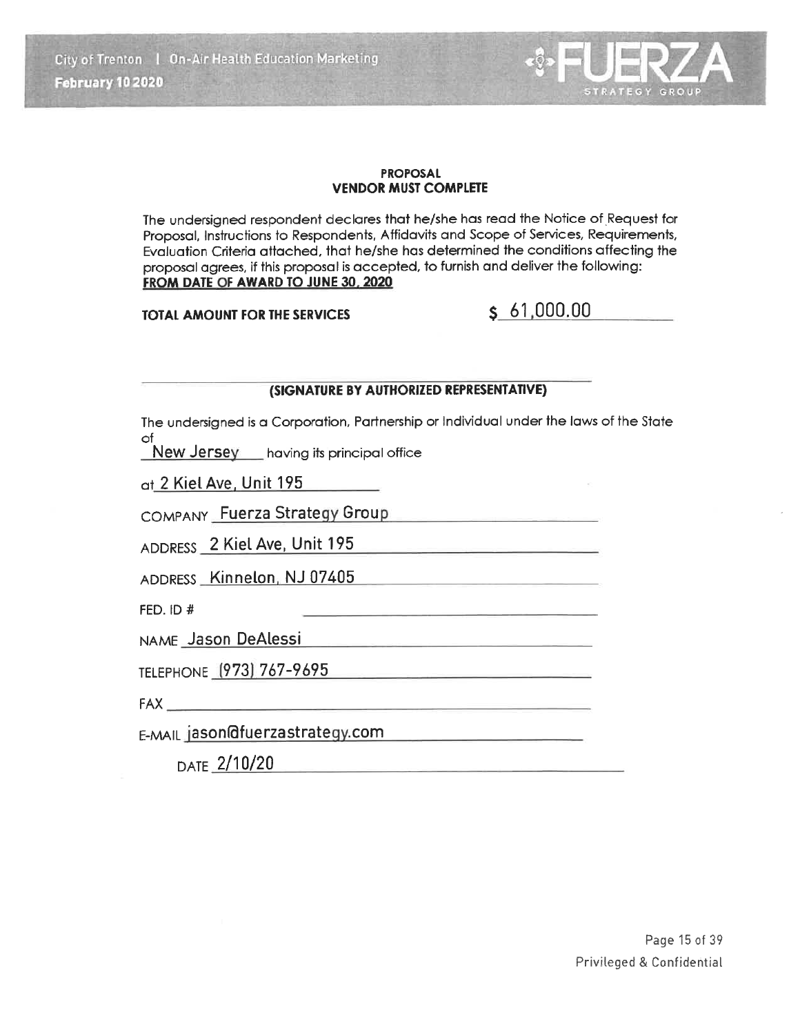City of Trenton | On-Air Health Education Marketing February 10 2020

#### **PROPOSAL VENDOR MUST COMPLETE**

The undersigned respondent declares that he/she has read the Notice of Request for Proposal, Instructions to Respondents, Affidavits and Scope of Services, Requirements, Evaluation Criteria attached, that he/she has determined the conditions affecting the proposal agrees, if this proposal is accepted, to furnish and deliver the following: FROM DATE OF AWARD TO JUNE 30, 2020

**TOTAL AMOUNT FOR THE SERVICES** 

# $S, 61,000,00$

STRATEGY GROUP

#### (SIGNATURE BY AUTHORIZED REPRESENTATIVE)

The undersigned is a Corporation, Partnership or Individual under the laws of the State of

<u> 1989 - John Stein, mars and de Brasilian (b. 19</u>

New Jersey having its principal office

at 2 Kiel Ave, Unit 195

COMPANY Fuerza Strategy Group

ADDRESS 2 Kiel Ave, Unit 195

ADDRESS Kinnelon, NJ 07405

FED. ID  $#$ 

NAME Jason DeAlessi Manuscriptus Annuscriptus Annuscriptus Annuscriptus Annuscriptus Annuscriptus Annuscriptus

TELEPHONE (973) 767-9695

FAX PARTICULAR PRODUCTS

E-MAIL jason@fuerzastrategy.com

DATE 2/10/20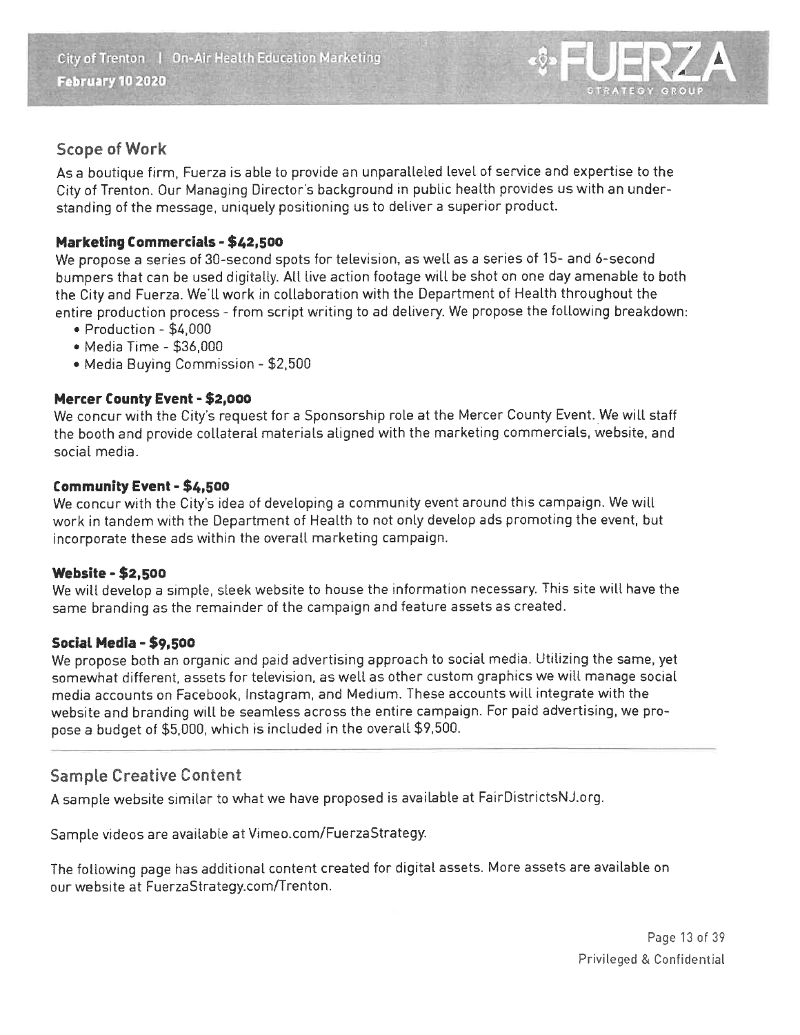

# **Scope of Work**

As a boutique firm, Fuerza is able to provide an unparalleled level of service and expertise to the City of Trenton. Our Managing Director's background in public health provides us with an understanding of the message, uniquely positioning us to deliver a superior product.

### **Marketing Commercials - \$42,500**

We propose a series of 30-second spots for television, as well as a series of 15- and 6-second bumpers that can be used digitally. All live action footage will be shot on one day amenable to both the City and Fuerza. We'll work in collaboration with the Department of Health throughout the entire production process - from script writing to ad delivery. We propose the following breakdown:

- · Production \$4,000
- Media Time \$36,000
- Media Buying Commission \$2,500

### Mercer County Event - \$2,000

We concur with the City's request for a Sponsorship role at the Mercer County Event. We will staff the booth and provide collateral materials aligned with the marketing commercials, website, and social media.

#### Community Event - \$4,500

We concur with the City's idea of developing a community event around this campaign. We will work in tandem with the Department of Health to not only develop ads promoting the event, but incorporate these ads within the overall marketing campaign.

#### **Website - \$2,500**

We will develop a simple, sleek website to house the information necessary. This site will have the same branding as the remainder of the campaign and feature assets as created.

#### Social Media - \$9,500

We propose both an organic and paid advertising approach to social media. Utilizing the same, yet somewhat different, assets for television, as well as other custom graphics we will manage social media accounts on Facebook, Instagram, and Medium. These accounts will integrate with the website and branding will be seamless across the entire campaign. For paid advertising, we propose a budget of \$5,000, which is included in the overall \$9,500.

## **Sample Creative Content**

A sample website similar to what we have proposed is available at FairDistrictsNJ.org.

Sample videos are available at Vimeo.com/FuerzaStrategy.

The following page has additional content created for digital assets. More assets are available on our website at FuerzaStrategy.com/Trenton.